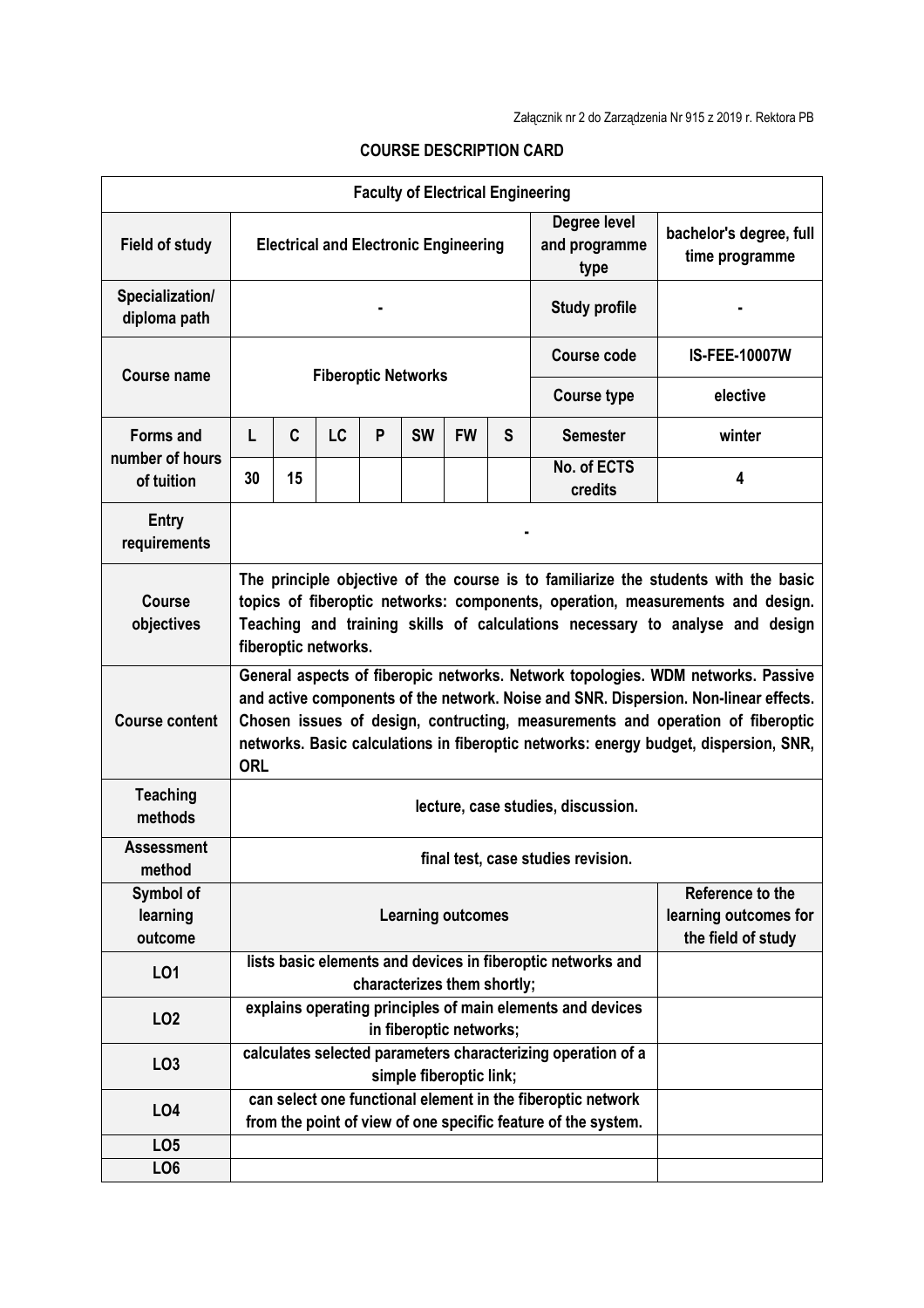| <b>Faculty of Electrical Engineering</b>          |                                                                                                                                                                                                                                                                                                                                                                  |    |    |   |           |                             |   |                                                                                                                              |                                           |  |  |
|---------------------------------------------------|------------------------------------------------------------------------------------------------------------------------------------------------------------------------------------------------------------------------------------------------------------------------------------------------------------------------------------------------------------------|----|----|---|-----------|-----------------------------|---|------------------------------------------------------------------------------------------------------------------------------|-------------------------------------------|--|--|
| <b>Field of study</b>                             | Degree level<br><b>Electrical and Electronic Engineering</b><br>and programme<br>type                                                                                                                                                                                                                                                                            |    |    |   |           |                             |   |                                                                                                                              | bachelor's degree, full<br>time programme |  |  |
| Specialization/<br>diploma path                   | <b>Study profile</b>                                                                                                                                                                                                                                                                                                                                             |    |    |   |           |                             |   |                                                                                                                              |                                           |  |  |
| <b>Course name</b>                                | <b>Fiberoptic Networks</b>                                                                                                                                                                                                                                                                                                                                       |    |    |   |           |                             |   | <b>Course code</b>                                                                                                           | <b>IS-FEE-10007W</b>                      |  |  |
|                                                   | <b>Course type</b>                                                                                                                                                                                                                                                                                                                                               |    |    |   |           |                             |   |                                                                                                                              | elective                                  |  |  |
| <b>Forms and</b><br>number of hours<br>of tuition | L                                                                                                                                                                                                                                                                                                                                                                | C  | LC | P | <b>SW</b> | <b>FW</b>                   | S | <b>Semester</b>                                                                                                              | winter                                    |  |  |
|                                                   | 30                                                                                                                                                                                                                                                                                                                                                               | 15 |    |   |           |                             |   | No. of ECTS<br>credits                                                                                                       | 4                                         |  |  |
| Entry<br>requirements                             |                                                                                                                                                                                                                                                                                                                                                                  |    |    |   |           |                             |   |                                                                                                                              |                                           |  |  |
| <b>Course</b><br>objectives                       | The principle objective of the course is to familiarize the students with the basic<br>topics of fiberoptic networks: components, operation, measurements and design.<br>Teaching and training skills of calculations necessary to analyse and design<br>fiberoptic networks.                                                                                    |    |    |   |           |                             |   |                                                                                                                              |                                           |  |  |
| <b>Course content</b>                             | General aspects of fiberopic networks. Network topologies. WDM networks. Passive<br>and active components of the network. Noise and SNR. Dispersion. Non-linear effects.<br>Chosen issues of design, contructing, measurements and operation of fiberoptic<br>networks. Basic calculations in fiberoptic networks: energy budget, dispersion, SNR,<br><b>ORL</b> |    |    |   |           |                             |   |                                                                                                                              |                                           |  |  |
| <b>Teaching</b><br>methods                        | lecture, case studies, discussion.                                                                                                                                                                                                                                                                                                                               |    |    |   |           |                             |   |                                                                                                                              |                                           |  |  |
| <b>Assessment</b><br>method                       | final test, case studies revision.                                                                                                                                                                                                                                                                                                                               |    |    |   |           |                             |   |                                                                                                                              |                                           |  |  |
| Symbol of<br>learning<br>outcome                  | Reference to the<br><b>Learning outcomes</b><br>the field of study                                                                                                                                                                                                                                                                                               |    |    |   |           |                             |   |                                                                                                                              | learning outcomes for                     |  |  |
| L <sub>01</sub>                                   |                                                                                                                                                                                                                                                                                                                                                                  |    |    |   |           | characterizes them shortly; |   | lists basic elements and devices in fiberoptic networks and                                                                  |                                           |  |  |
| LO <sub>2</sub>                                   |                                                                                                                                                                                                                                                                                                                                                                  |    |    |   |           | in fiberoptic networks;     |   | explains operating principles of main elements and devices                                                                   |                                           |  |  |
| LO <sub>3</sub>                                   |                                                                                                                                                                                                                                                                                                                                                                  |    |    |   |           | simple fiberoptic link;     |   | calculates selected parameters characterizing operation of a                                                                 |                                           |  |  |
| L04                                               |                                                                                                                                                                                                                                                                                                                                                                  |    |    |   |           |                             |   | can select one functional element in the fiberoptic network<br>from the point of view of one specific feature of the system. |                                           |  |  |
| LO <sub>5</sub>                                   |                                                                                                                                                                                                                                                                                                                                                                  |    |    |   |           |                             |   |                                                                                                                              |                                           |  |  |
| LO <sub>6</sub>                                   |                                                                                                                                                                                                                                                                                                                                                                  |    |    |   |           |                             |   |                                                                                                                              |                                           |  |  |

## **COURSE DESCRIPTION CARD**